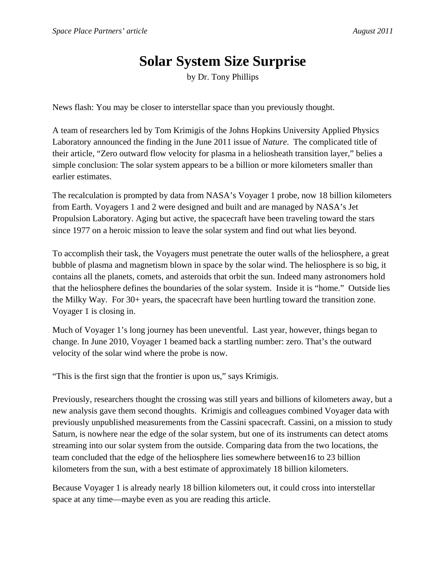## **Solar System Size Surprise**

by Dr. Tony Phillips

News flash: You may be closer to interstellar space than you previously thought.

A team of researchers led by Tom Krimigis of the Johns Hopkins University Applied Physics Laboratory announced the finding in the June 2011 issue of *Nature*. The complicated title of their article, "Zero outward flow velocity for plasma in a heliosheath transition layer," belies a simple conclusion: The solar system appears to be a billion or more kilometers smaller than earlier estimates.

The recalculation is prompted by data from NASA's Voyager 1 probe, now 18 billion kilometers from Earth. Voyagers 1 and 2 were designed and built and are managed by NASA's Jet Propulsion Laboratory. Aging but active, the spacecraft have been traveling toward the stars since 1977 on a heroic mission to leave the solar system and find out what lies beyond.

To accomplish their task, the Voyagers must penetrate the outer walls of the heliosphere, a great bubble of plasma and magnetism blown in space by the solar wind. The heliosphere is so big, it contains all the planets, comets, and asteroids that orbit the sun. Indeed many astronomers hold that the heliosphere defines the boundaries of the solar system. Inside it is "home." Outside lies the Milky Way. For 30+ years, the spacecraft have been hurtling toward the transition zone. Voyager 1 is closing in.

Much of Voyager 1's long journey has been uneventful. Last year, however, things began to change. In June 2010, Voyager 1 beamed back a startling number: zero. That's the outward velocity of the solar wind where the probe is now.

"This is the first sign that the frontier is upon us," says Krimigis.

Previously, researchers thought the crossing was still years and billions of kilometers away, but a new analysis gave them second thoughts. Krimigis and colleagues combined Voyager data with previously unpublished measurements from the Cassini spacecraft. Cassini, on a mission to study Saturn, is nowhere near the edge of the solar system, but one of its instruments can detect atoms streaming into our solar system from the outside. Comparing data from the two locations, the team concluded that the edge of the heliosphere lies somewhere between16 to 23 billion kilometers from the sun, with a best estimate of approximately 18 billion kilometers.

Because Voyager 1 is already nearly 18 billion kilometers out, it could cross into interstellar space at any time—maybe even as you are reading this article.